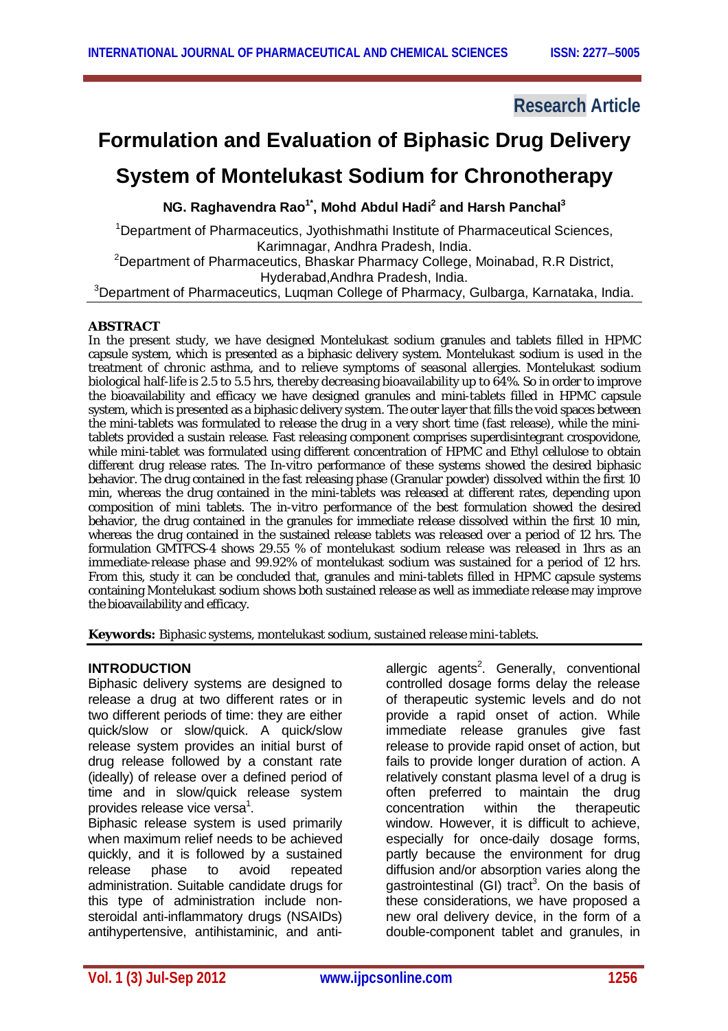## **Research Article**

# **Formulation and Evaluation of Biphasic Drug Delivery**

## **System of Montelukast Sodium for Chronotherapy**

**NG. Raghavendra Rao1\* , Mohd Abdul Hadi<sup>2</sup> and Harsh Panchal<sup>3</sup>**

<sup>1</sup>Department of Pharmaceutics, Jyothishmathi Institute of Pharmaceutical Sciences, Karimnagar, Andhra Pradesh, India. <sup>2</sup> Department of Pharmaceutics, Bhaskar Pharmacy College, Moinabad, R.R District, Hyderabad,Andhra Pradesh, India.

<sup>3</sup>Department of Pharmaceutics, Luqman College of Pharmacy, Gulbarga, Karnataka, India.

### **ABSTRACT**

In the present study, we have designed Montelukast sodium granules and tablets filled in HPMC capsule system, which is presented as a biphasic delivery system. Montelukast sodium is used in the treatment of chronic asthma, and to relieve symptoms of seasonal allergies. Montelukast sodium biological half-life is 2.5 to 5.5 hrs, thereby decreasing bioavailability up to 64%. So in order to improve the bioavailability and efficacy we have designed granules and mini-tablets filled in HPMC capsule system, which is presented as a biphasic delivery system. The outer layer that fills the void spaces between the mini-tablets was formulated to release the drug in a very short time (fast release), while the minitablets provided a sustain release. Fast releasing component comprises superdisintegrant crospovidone, while mini-tablet was formulated using different concentration of HPMC and Ethyl cellulose to obtain different drug release rates. The *In-vitro* performance of these systems showed the desired biphasic behavior. The drug contained in the fast releasing phase (Granular powder) dissolved within the first 10 min, whereas the drug contained in the mini-tablets was released at different rates, depending upon composition of mini tablets. The *in-vitro* performance of the best formulation showed the desired behavior, the drug contained in the granules for immediate release dissolved within the first 10 min, whereas the drug contained in the sustained release tablets was released over a period of 12 hrs. The formulation GMTFCS-4 shows 29.55 % of montelukast sodium release was released in 1hrs as an immediate-release phase and 99.92% of montelukast sodium was sustained for a period of 12 hrs. From this, study it can be concluded that, granules and mini-tablets filled in HPMC capsule systems containing Montelukast sodium shows both sustained release as well as immediate release may improve the bioavailability and efficacy.

**Keywords:** Biphasic systems, montelukast sodium, sustained release mini-tablets.

## **INTRODUCTION**

Biphasic delivery systems are designed to release a drug at two different rates or in two different periods of time: they are either quick/slow or slow/quick. A quick/slow release system provides an initial burst of drug release followed by a constant rate (ideally) of release over a defined period of time and in slow/quick release system provides release vice versa<sup>1</sup>.

Biphasic release system is used primarily when maximum relief needs to be achieved quickly, and it is followed by a sustained release phase to avoid repeated administration. Suitable candidate drugs for this type of administration include nonsteroidal anti-inflammatory drugs (NSAIDs) antihypertensive, antihistaminic, and anti-

allergic agents<sup>2</sup>. Generally, conventional controlled dosage forms delay the release of therapeutic systemic levels and do not provide a rapid onset of action. While immediate release granules give fast release to provide rapid onset of action, but fails to provide longer duration of action. A relatively constant plasma level of a drug is often preferred to maintain the drug concentration within the therapeutic window. However, it is difficult to achieve, especially for once-daily dosage forms, partly because the environment for drug diffusion and/or absorption varies along the gastrointestinal (GI) tract<sup>3</sup>. On the basis of these considerations, we have proposed a new oral delivery device, in the form of a double-component tablet and granules, in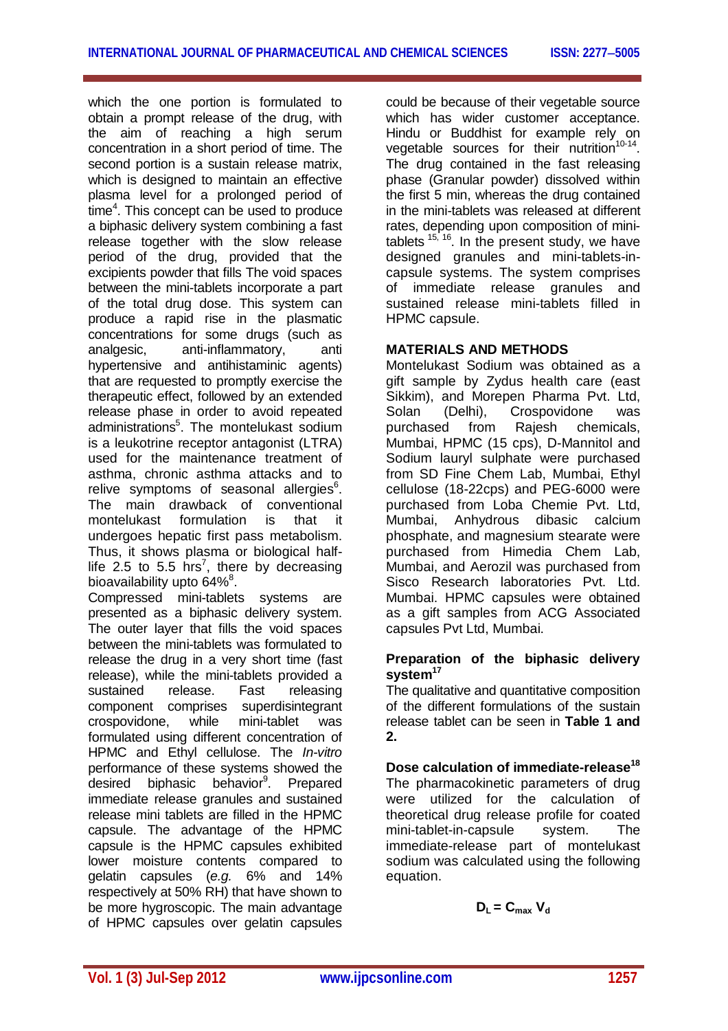which the one portion is formulated to obtain a prompt release of the drug, with the aim of reaching a high serum concentration in a short period of time. The second portion is a sustain release matrix, which is designed to maintain an effective plasma level for a prolonged period of  $time<sup>4</sup>$ . This concept can be used to produce a biphasic delivery system combining a fast release together with the slow release period of the drug, provided that the excipients powder that fills The void spaces between the mini-tablets incorporate a part of the total drug dose. This system can produce a rapid rise in the plasmatic concentrations for some drugs (such as analgesic, anti-inflammatory, anti hypertensive and antihistaminic agents) that are requested to promptly exercise the therapeutic effect, followed by an extended release phase in order to avoid repeated administrations<sup>5</sup>. The montelukast sodium is a leukotrine receptor antagonist (LTRA) used for the maintenance treatment of asthma, chronic asthma attacks and to relive symptoms of seasonal allergies<sup>6</sup>. The main drawback of conventional montelukast formulation is that it undergoes hepatic first pass metabolism. Thus, it shows plasma or biological halflife 2.5 to 5.5 hrs<sup>7</sup>, there by decreasing bioavailability upto 64% $^8$ .

Compressed mini-tablets systems are presented as a biphasic delivery system. The outer layer that fills the void spaces between the mini-tablets was formulated to release the drug in a very short time (fast release), while the mini-tablets provided a sustained release. Fast releasing component comprises superdisintegrant crospovidone, while mini-tablet was formulated using different concentration of HPMC and Ethyl cellulose. The *In-vitro* performance of these systems showed the desired biphasic behavior<sup>9</sup>. Prepared immediate release granules and sustained release mini tablets are filled in the HPMC capsule. The advantage of the HPMC capsule is the HPMC capsules exhibited lower moisture contents compared to gelatin capsules (*e.g.* 6% and 14% respectively at 50% RH) that have shown to be more hygroscopic. The main advantage of HPMC capsules over gelatin capsules

could be because of their vegetable source which has wider customer acceptance. Hindu or Buddhist for example rely on vegetable sources for their nutrition<sup>10-14</sup> The drug contained in the fast releasing phase (Granular powder) dissolved within the first 5 min, whereas the drug contained in the mini-tablets was released at different rates, depending upon composition of minitablets <sup>15, 16</sup>. In the present study, we have designed granules and mini-tablets-incapsule systems. The system comprises of immediate release granules and sustained release mini-tablets filled in HPMC capsule.

### **MATERIALS AND METHODS**

Montelukast Sodium was obtained as a gift sample by Zydus health care (east Sikkim), and Morepen Pharma Pvt. Ltd, Solan (Delhi), Crospovidone was purchased from Rajesh chemicals, Mumbai, HPMC (15 cps), D-Mannitol and Sodium lauryl sulphate were purchased from SD Fine Chem Lab, Mumbai, Ethyl cellulose (18-22cps) and PEG-6000 were purchased from Loba Chemie Pvt. Ltd, Mumbai, Anhydrous dibasic calcium phosphate, and magnesium stearate were purchased from Himedia Chem Lab, Mumbai, and Aerozil was purchased from Sisco Research laboratories Pvt. Ltd. Mumbai. HPMC capsules were obtained as a gift samples from ACG Associated capsules Pvt Ltd, Mumbai.

### **Preparation of the biphasic delivery system<sup>17</sup>**

The qualitative and quantitative composition of the different formulations of the sustain release tablet can be seen in **Table 1 and 2.**

## **Dose calculation of immediate-release<sup>18</sup>**

The pharmacokinetic parameters of drug were utilized for the calculation of theoretical drug release profile for coated mini-tablet-in-capsule system. The immediate-release part of montelukast sodium was calculated using the following equation.

$$
D_L = C_{\text{max}} V_d
$$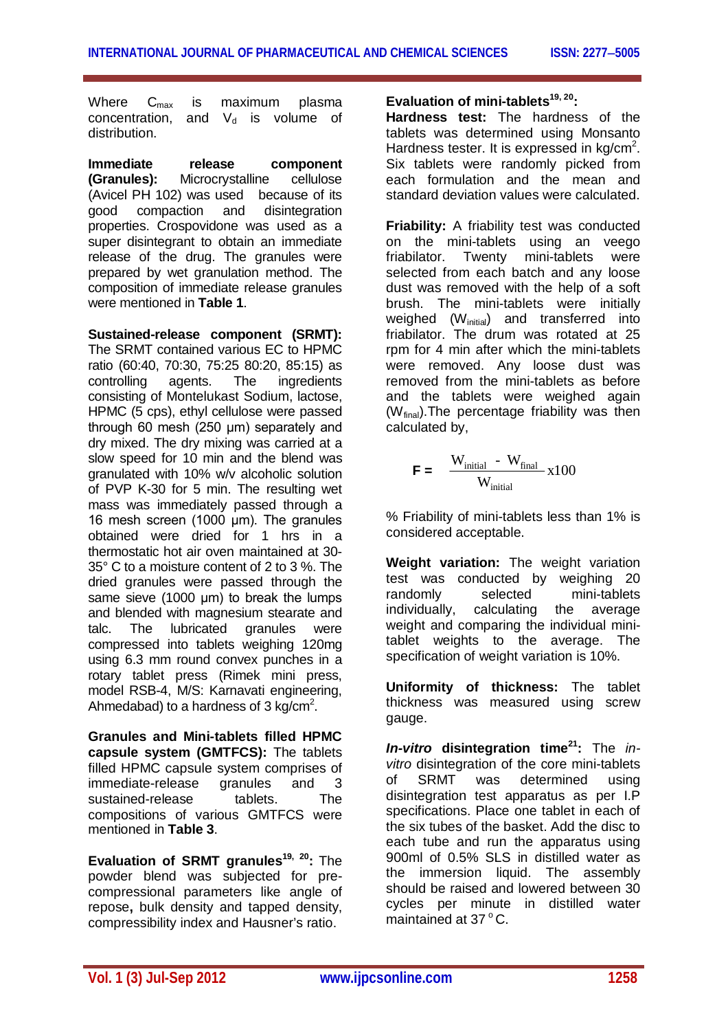Where C<sub>max</sub> is maximum plasma concentration, and  $V_d$  is volume of distribution.

**Immediate release component (Granules):** Microcrystalline cellulose (Avicel PH 102) was used because of its good compaction and disintegration properties. Crospovidone was used as a super disintegrant to obtain an immediate release of the drug. The granules were prepared by wet granulation method. The composition of immediate release granules were mentioned in **Table 1**.

**Sustained-release component (SRMT):**  The SRMT contained various EC to HPMC ratio (60:40, 70:30, 75:25 80:20, 85:15) as controlling agents. The ingredients consisting of Montelukast Sodium, lactose, HPMC (5 cps), ethyl cellulose were passed through 60 mesh (250 μm) separately and dry mixed. The dry mixing was carried at a slow speed for 10 min and the blend was granulated with 10% w/v alcoholic solution of PVP K-30 for 5 min. The resulting wet mass was immediately passed through a 16 mesh screen (1000 μm). The granules obtained were dried for 1 hrs in a thermostatic hot air oven maintained at 30- 35° C to a moisture content of 2 to 3 %. The dried granules were passed through the same sieve (1000 μm) to break the lumps and blended with magnesium stearate and talc. The lubricated granules were compressed into tablets weighing 120mg using 6.3 mm round convex punches in a rotary tablet press (Rimek mini press, model RSB-4, M/S: Karnavati engineering, Ahmedabad) to a hardness of 3 kg/cm<sup>2</sup>.

**Granules and Mini-tablets filled HPMC capsule system (GMTFCS):** The tablets filled HPMC capsule system comprises of immediate-release granules and 3 sustained-release tablets. The compositions of various GMTFCS were mentioned in **Table 3**.

**Evaluation of SRMT granules19, 20:** The powder blend was subjected for precompressional parameters like angle of repose**,** bulk density and tapped density, compressibility index and Hausner's ratio.

**Evaluation of mini-tablets19, 20:**

**Hardness test:** The hardness of the tablets was determined using Monsanto Hardness tester. It is expressed in  $kg/cm<sup>2</sup>$ . Six tablets were randomly picked from each formulation and the mean and standard deviation values were calculated.

**Friability:** A friability test was conducted on the mini-tablets using an veego friabilator. Twenty mini-tablets were selected from each batch and any loose dust was removed with the help of a soft brush. The mini-tablets were initially weighed (Winitial) and transferred into friabilator. The drum was rotated at 25 rpm for 4 min after which the mini-tablets were removed. Any loose dust was removed from the mini-tablets as before and the tablets were weighed again  $(W_{final})$ . The percentage friability was then calculated by,

$$
\mathbf{F} = \frac{\mathbf{W}_{initial} - \mathbf{W}_{final}}{\mathbf{W}_{initial}} \times 100
$$

% Friability of mini-tablets less than 1% is considered acceptable.

**Weight variation:** The weight variation test was conducted by weighing 20 randomly selected mini-tablets individually, calculating the average weight and comparing the individual minitablet weights to the average. The specification of weight variation is 10%.

**Uniformity of thickness:** The tablet thickness was measured using screw gauge.

*In-vitro* **disintegration time<sup>21</sup> :** The *invitro* disintegration of the core mini-tablets of SRMT was determined using disintegration test apparatus as per I.P specifications. Place one tablet in each of the six tubes of the basket. Add the disc to each tube and run the apparatus using 900ml of 0.5% SLS in distilled water as the immersion liquid. The assembly should be raised and lowered between 30 cycles per minute in distilled water maintained at  $37\,^{\circ}$  C.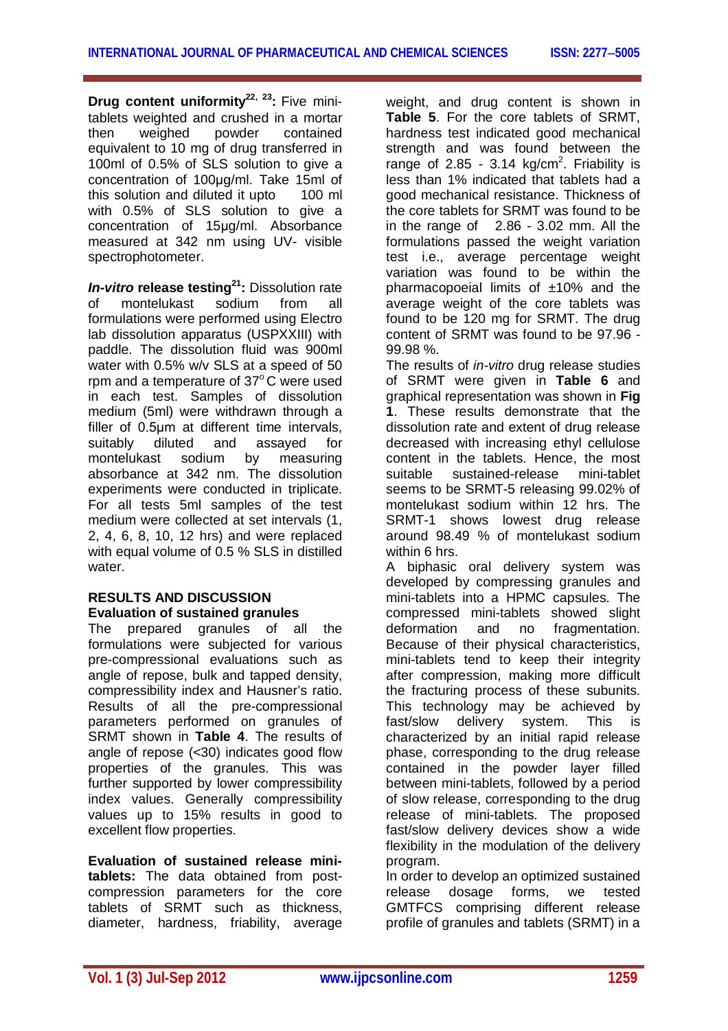**Drug content uniformity22, 23 :** Five minitablets weighted and crushed in a mortar then weighed powder contained equivalent to 10 mg of drug transferred in 100ml of 0.5% of SLS solution to give a concentration of 100μg/ml. Take 15ml of this solution and diluted it upto with 0.5% of SLS solution to give a concentration of 15μg/ml. Absorbance measured at 342 nm using UV- visible spectrophotometer.

*In-vitro* **release testing<sup>21</sup>:** Dissolution rate of montelukast sodium from all formulations were performed using Electro lab dissolution apparatus (USPXXIII) with paddle. The dissolution fluid was 900ml water with 0.5% w/v SLS at a speed of 50 rpm and a temperature of  $37^{\circ}$ C were used in each test. Samples of dissolution medium (5ml) were withdrawn through a filler of 0.5μm at different time intervals, suitably diluted and assayed for montelukast sodium by measuring absorbance at 342 nm. The dissolution experiments were conducted in triplicate. For all tests 5ml samples of the test medium were collected at set intervals (1, 2, 4, 6, 8, 10, 12 hrs) and were replaced with equal volume of 0.5 % SLS in distilled water.

## **RESULTS AND DISCUSSION Evaluation of sustained granules**

The prepared granules of all the formulations were subjected for various pre-compressional evaluations such as angle of repose, bulk and tapped density, compressibility index and Hausner's ratio. Results of all the pre-compressional parameters performed on granules of SRMT shown in **Table 4**. The results of angle of repose (<30) indicates good flow properties of the granules. This was further supported by lower compressibility index values. Generally compressibility values up to 15% results in good to excellent flow properties.

**Evaluation of sustained release minitablets:** The data obtained from postcompression parameters for the core tablets of SRMT such as thickness, diameter, hardness, friability, average weight, and drug content is shown in **Table 5**. For the core tablets of SRMT, hardness test indicated good mechanical strength and was found between the range of 2.85 - 3.14  $kg/cm<sup>2</sup>$ . Friability is less than 1% indicated that tablets had a good mechanical resistance. Thickness of the core tablets for SRMT was found to be in the range of 2.86 - 3.02 mm. All the formulations passed the weight variation test i.e., average percentage weight variation was found to be within the pharmacopoeial limits of  $±10\%$  and the average weight of the core tablets was found to be 120 mg for SRMT. The drug content of SRMT was found to be 97.96 - 99.98 %.

The results of *in-vitro* drug release studies of SRMT were given in **Table 6** and graphical representation was shown in **Fig 1**. These results demonstrate that the dissolution rate and extent of drug release decreased with increasing ethyl cellulose content in the tablets. Hence, the most suitable sustained-release mini-tablet seems to be SRMT-5 releasing 99.02% of montelukast sodium within 12 hrs. The SRMT-1 shows lowest drug release around 98.49 % of montelukast sodium within 6 hrs.

A biphasic oral delivery system was developed by compressing granules and mini-tablets into a HPMC capsules. The compressed mini-tablets showed slight deformation and no fragmentation. Because of their physical characteristics, mini-tablets tend to keep their integrity after compression, making more difficult the fracturing process of these subunits. This technology may be achieved by fast/slow delivery system. This is characterized by an initial rapid release phase, corresponding to the drug release contained in the powder layer filled between mini-tablets, followed by a period of slow release, corresponding to the drug release of mini-tablets. The proposed fast/slow delivery devices show a wide flexibility in the modulation of the delivery program.

In order to develop an optimized sustained release dosage forms, we tested GMTFCS comprising different release profile of granules and tablets (SRMT) in a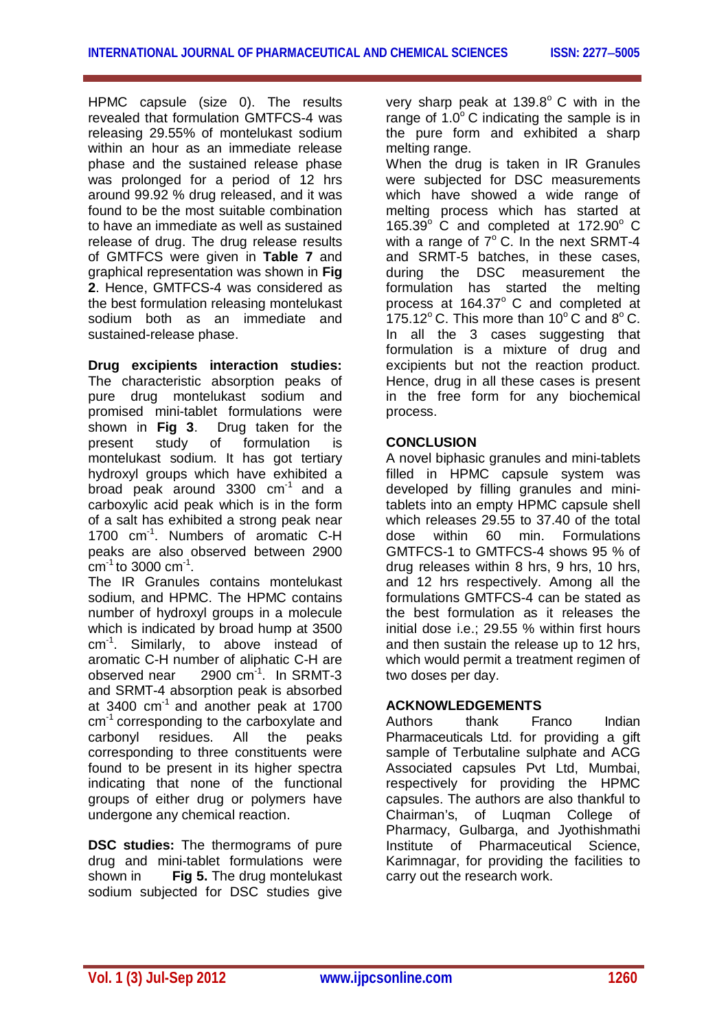HPMC capsule (size 0). The results revealed that formulation GMTFCS-4 was releasing 29.55% of montelukast sodium within an hour as an immediate release phase and the sustained release phase was prolonged for a period of 12 hrs around 99.92 % drug released, and it was found to be the most suitable combination to have an immediate as well as sustained release of drug. The drug release results of GMTFCS were given in **Table 7** and graphical representation was shown in **Fig 2**. Hence, GMTFCS-4 was considered as the best formulation releasing montelukast sodium both as an immediate and sustained-release phase.

**Drug excipients interaction studies:**  The characteristic absorption peaks of pure drug montelukast sodium and promised mini-tablet formulations were shown in **Fig 3**. Drug taken for the present study of formulation is montelukast sodium. It has got tertiary hydroxyl groups which have exhibited a broad peak around  $3300$   $cm<sup>-1</sup>$  and a carboxylic acid peak which is in the form of a salt has exhibited a strong peak near 1700 cm<sup>-1</sup>. Numbers of aromatic C-H peaks are also observed between 2900 cm $^{-1}$ to 3000 cm $^{-1}$ .

The IR Granules contains montelukast sodium, and HPMC. The HPMC contains number of hydroxyl groups in a molecule which is indicated by broad hump at 3500 cm<sup>-1</sup>. Similarly, to above instead of aromatic C-H number of aliphatic C-H are observed near 2900 cm<sup>-1</sup>. In SRMT-3 and SRMT-4 absorption peak is absorbed at 3400 cm-1 and another peak at 1700 cm-1 corresponding to the carboxylate and carbonyl residues. All the peaks corresponding to three constituents were found to be present in its higher spectra indicating that none of the functional groups of either drug or polymers have undergone any chemical reaction.

**DSC studies:** The thermograms of pure drug and mini-tablet formulations were shown in **Fig 5.** The drug montelukast sodium subjected for DSC studies give

very sharp peak at  $139.8^{\circ}$  C with in the range of  $1.0^{\circ}$  C indicating the sample is in the pure form and exhibited a sharp melting range.

When the drug is taken in IR Granules were subjected for DSC measurements which have showed a wide range of melting process which has started at 165.39 $\degree$  C and completed at 172.90 $\degree$  C with a range of  $7^\circ$  C. In the next SRMT-4 and SRMT-5 batches, in these cases, during the DSC measurement the formulation has started the melting process at  $164.37^{\circ}$  C and completed at 175.12 $^{\circ}$  C. This more than 10 $^{\circ}$  C and 8 $^{\circ}$  C. In all the 3 cases suggesting that formulation is a mixture of drug and excipients but not the reaction product. Hence, drug in all these cases is present in the free form for any biochemical process.

## **CONCLUSION**

A novel biphasic granules and mini-tablets filled in HPMC capsule system was developed by filling granules and minitablets into an empty HPMC capsule shell which releases 29.55 to 37.40 of the total dose within 60 min. Formulations GMTFCS-1 to GMTFCS-4 shows 95 % of drug releases within 8 hrs, 9 hrs, 10 hrs, and 12 hrs respectively. Among all the formulations GMTFCS-4 can be stated as the best formulation as it releases the initial dose i.e.; 29.55 % within first hours and then sustain the release up to 12 hrs, which would permit a treatment regimen of two doses per day.

## **ACKNOWLEDGEMENTS**

Authors thank Franco Indian Pharmaceuticals Ltd. for providing a gift sample of Terbutaline sulphate and ACG Associated capsules Pvt Ltd, Mumbai, respectively for providing the HPMC capsules. The authors are also thankful to Chairman's, of Luqman College of Pharmacy, Gulbarga, and Jyothishmathi Institute of Pharmaceutical Science, Karimnagar, for providing the facilities to carry out the research work.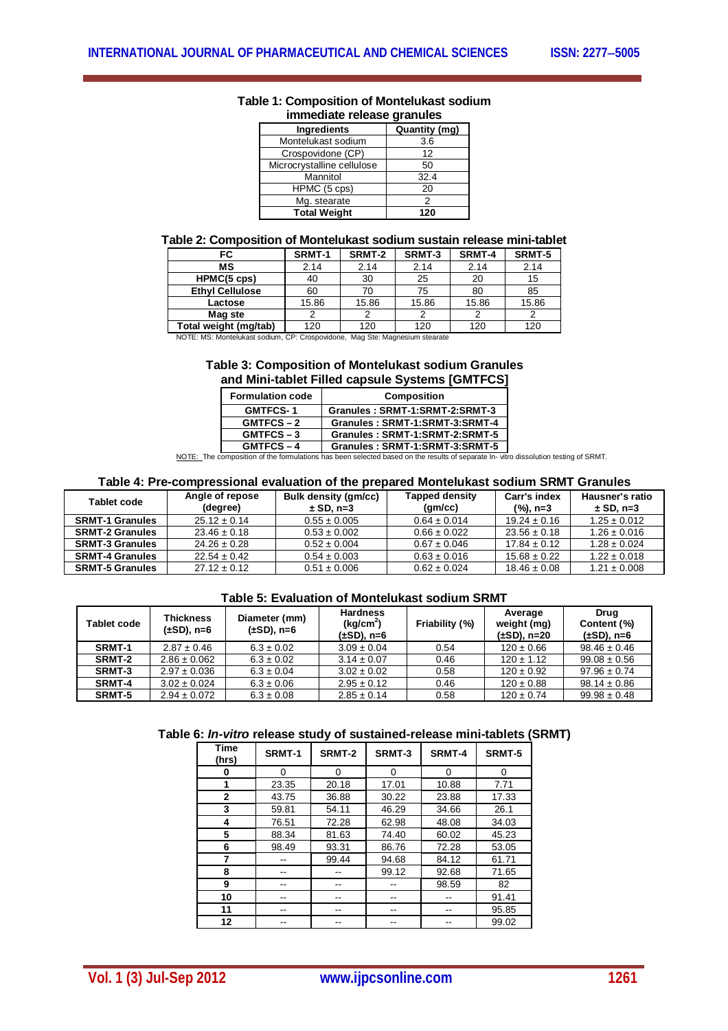| immediate release granules |                      |  |  |  |  |
|----------------------------|----------------------|--|--|--|--|
| <b>Ingredients</b>         | <b>Quantity (mg)</b> |  |  |  |  |
| Montelukast sodium         | 3.6                  |  |  |  |  |
| Crospovidone (CP)          | 12                   |  |  |  |  |
| Microcrystalline cellulose | 50                   |  |  |  |  |
| Mannitol                   | 32.4                 |  |  |  |  |
| HPMC (5 cps)               | 20                   |  |  |  |  |
| Mg. stearate               | 2                    |  |  |  |  |
| <b>Total Weight</b>        | 120                  |  |  |  |  |

# **Table 1: Composition of Montelukast sodium**

#### **Table 2: Composition of Montelukast sodium sustain release mini-tablet**

| FC                                                                          | SRMT-1 | SRMT-2 | SRMT-3 | <b>SRMT-4</b> | SRMT-5 |
|-----------------------------------------------------------------------------|--------|--------|--------|---------------|--------|
| мs                                                                          | 2.14   | 2.14   | 2.14   | 2.14          | 2.14   |
| HPMC(5 cps)                                                                 | 40     | 30     | 25     | 20            | 15     |
| <b>Ethyl Cellulose</b>                                                      | 60     | 70     | 75     | 80            | 85     |
| Lactose                                                                     | 15.86  | 15.86  | 15.86  | 15.86         | 15.86  |
| Mag ste                                                                     |        | 2      | っ      |               |        |
| Total weight (mg/tab)                                                       | 120    | 120    | 120    | 120           | 120    |
| NOTE: MS: Montelukast sodium, CP: Crospovidone, Mag Ste: Magnesium stearate |        |        |        |               |        |

#### **Table 3: Composition of Montelukast sodium Granules and Mini-tablet Filled capsule Systems [GMTFCS]**

| <b>Formulation code</b> | <b>Composition</b>             |
|-------------------------|--------------------------------|
| <b>GMTFCS-1</b>         | Granules: SRMT-1:SRMT-2:SRMT-3 |
| $GMTFCS - 2$            | Granules: SRMT-1:SRMT-3:SRMT-4 |
| GMTFCS-3                | Granules: SRMT-1:SRMT-2:SRMT-5 |
| <b>GMTFCS-4</b>         | Granules: SRMT-1:SRMT-3:SRMT-5 |

**GMTFCS – 4 Granules : SRMT-1:SRMT-3:SRMT-5** NOTE: The composition of the formulations has been selected based on the results of separate In- vitro dissolution testing of SRMT.

#### **Table 4: Pre-compressional evaluation of the prepared Montelukast sodium SRMT Granules**

| Tablet code            | Angle of repose<br>(degree) | <b>Bulk density (gm/cc)</b><br>$\pm$ SD, n=3 | <b>Tapped density</b><br>(am/cc) | Carr's index<br>$(%)$ , n=3 | Hausner's ratio<br>$\pm$ SD, n=3 |
|------------------------|-----------------------------|----------------------------------------------|----------------------------------|-----------------------------|----------------------------------|
| <b>SRMT-1 Granules</b> | $25.12 \pm 0.14$            | $0.55 \pm 0.005$                             | $0.64 \pm 0.014$                 | $19.24 \pm 0.16$            | $1.25 \pm 0.012$                 |
| <b>SRMT-2 Granules</b> | $23.46 + 0.18$              | $0.53 \pm 0.002$                             | $0.66 + 0.022$                   | $23.56 \pm 0.18$            | $1.26 \pm 0.016$                 |
| <b>SRMT-3 Granules</b> | $24.26 \pm 0.28$            | $0.52 \pm 0.004$                             | $0.67 \pm 0.046$                 | $17.84 \pm 0.12$            | $1.28 \pm 0.024$                 |
| <b>SRMT-4 Granules</b> | $22.54 \pm 0.42$            | $0.54 \pm 0.003$                             | $0.63 \pm 0.016$                 | $15.68 \pm 0.22$            | $1.22 \pm 0.018$                 |
| <b>SRMT-5 Granules</b> | $27.12 \pm 0.12$            | $0.51 \pm 0.006$                             | $0.62 \pm 0.024$                 | $18.46 \pm 0.08$            | $1.21 \pm 0.008$                 |

#### **Table 5: Evaluation of Montelukast sodium SRMT**

| <b>Tablet code</b> | Thickness<br>(±SD), n=6 | Diameter (mm)<br>$(\pm SD)$ , n=6 | <b>Hardness</b><br>(kq/cm <sup>2</sup> )<br>(±SD), n=6 | Friability (%) | Average<br>weight (mg)<br>(±SD), n=20 | Drua<br>Content (%)<br>$(\pm SD)$ , n=6 |
|--------------------|-------------------------|-----------------------------------|--------------------------------------------------------|----------------|---------------------------------------|-----------------------------------------|
| SRMT-1             | $2.87 \pm 0.46$         | $6.3 \pm 0.02$                    | $3.09 \pm 0.04$                                        | 0.54           | $120 \pm 0.66$                        | $98.46 \pm 0.46$                        |
| SRMT-2             | $2.86 \pm 0.062$        | $6.3 \pm 0.02$                    | $3.14 \pm 0.07$                                        | 0.46           | $120 \pm 1.12$                        | $99.08 \pm 0.56$                        |
| SRMT-3             | $2.97 \pm 0.036$        | $6.3 \pm 0.04$                    | $3.02 \pm 0.02$                                        | 0.58           | $120 \pm 0.92$                        | $97.96 \pm 0.74$                        |
| <b>SRMT-4</b>      | $3.02 \pm 0.024$        | $6.3 \pm 0.06$                    | $2.95 \pm 0.12$                                        | 0.46           | $120 \pm 0.88$                        | $98.14 \pm 0.86$                        |
| SRMT-5             | $2.94 \pm 0.072$        | $6.3 \pm 0.08$                    | $2.85 \pm 0.14$                                        | 0.58           | $120 \pm 0.74$                        | $99.98 \pm 0.48$                        |

|  | Table 6: In-vitro release study of sustained-release mini-tablets (SRMT) |  |
|--|--------------------------------------------------------------------------|--|
|--|--------------------------------------------------------------------------|--|

| <b>Time</b><br>(hrs) | SRMT-1 | SRMT-2 | SRMT-3 | SRMT-4 | SRMT-5 |
|----------------------|--------|--------|--------|--------|--------|
| o                    | 0      | 0      | 0      | 0      | 0      |
| 1                    | 23.35  | 20.18  | 17.01  | 10.88  | 7.71   |
| $\mathbf{2}$         | 43.75  | 36.88  | 30.22  | 23.88  | 17.33  |
| 3                    | 59.81  | 54.11  | 46.29  | 34.66  | 26.1   |
| 4                    | 76.51  | 72.28  | 62.98  | 48.08  | 34.03  |
| 5                    | 88.34  | 81.63  | 74.40  | 60.02  | 45.23  |
| 6                    | 98.49  | 93.31  | 86.76  | 72.28  | 53.05  |
| 7                    |        | 99.44  | 94.68  | 84.12  | 61.71  |
| 8                    |        |        | 99.12  | 92.68  | 71.65  |
| 9                    |        |        |        | 98.59  | 82     |
| 10                   |        |        |        |        | 91.41  |
| 11                   |        |        |        |        | 95.85  |
| 12                   |        |        |        |        | 99.02  |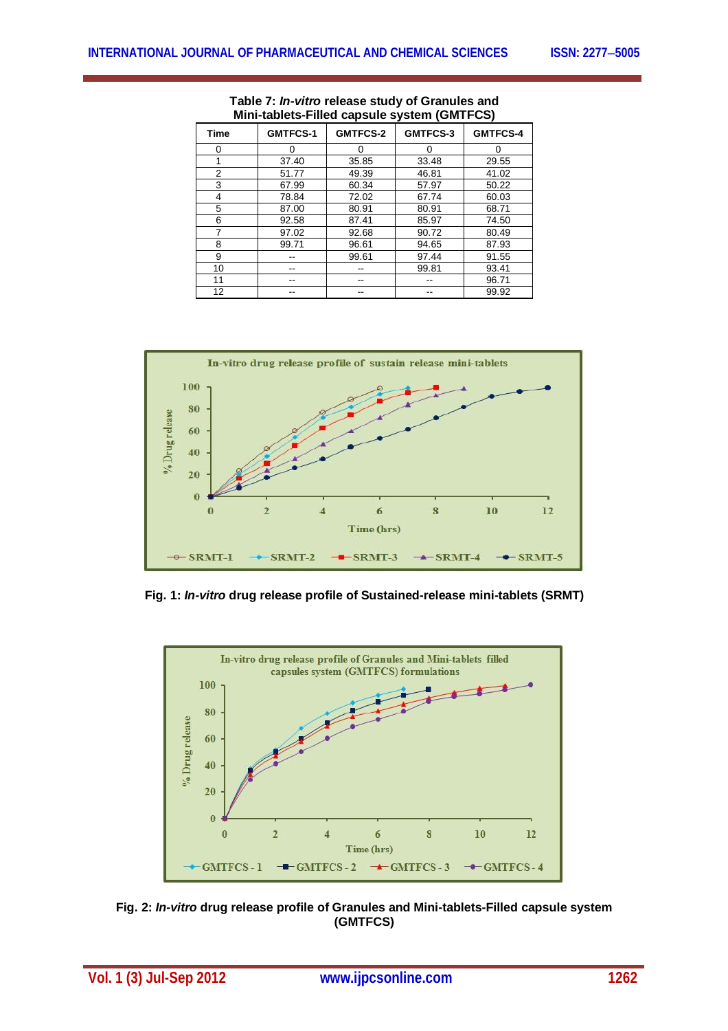| Time | <b>GMTFCS-1</b> | <b>GMTFCS-2</b> | GMTFCS-3 | <b>GMTFCS-4</b> |
|------|-----------------|-----------------|----------|-----------------|
| 0    |                 | 0               | 0        | 0               |
| 1    | 37.40           | 35.85           | 33.48    | 29.55           |
| 2    | 51.77           | 49.39           | 46.81    | 41.02           |
| 3    | 67.99           | 60.34           | 57.97    | 50.22           |
| 4    | 78.84           | 72.02           | 67.74    | 60.03           |
| 5    | 87.00           | 80.91           | 80.91    | 68.71           |
| 6    | 92.58           | 87.41           | 85.97    | 74.50           |
| 7    | 97.02           | 92.68           | 90.72    | 80.49           |
| 8    | 99.71           | 96.61           | 94.65    | 87.93           |
| 9    |                 | 99.61           | 97.44    | 91.55           |
| 10   |                 |                 | 99.81    | 93.41           |
| 11   |                 | --              |          | 96.71           |
| 12   |                 |                 |          | 99.92           |

**Table 7:** *In-vitro* **release study of Granules and Mini-tablets-Filled capsule system (GMTFCS)**



**Fig. 1:** *In-vitro* **drug release profile of Sustained-release mini-tablets (SRMT)**



**Fig. 2:** *In-vitro* **drug release profile of Granules and Mini-tablets-Filled capsule system (GMTFCS)**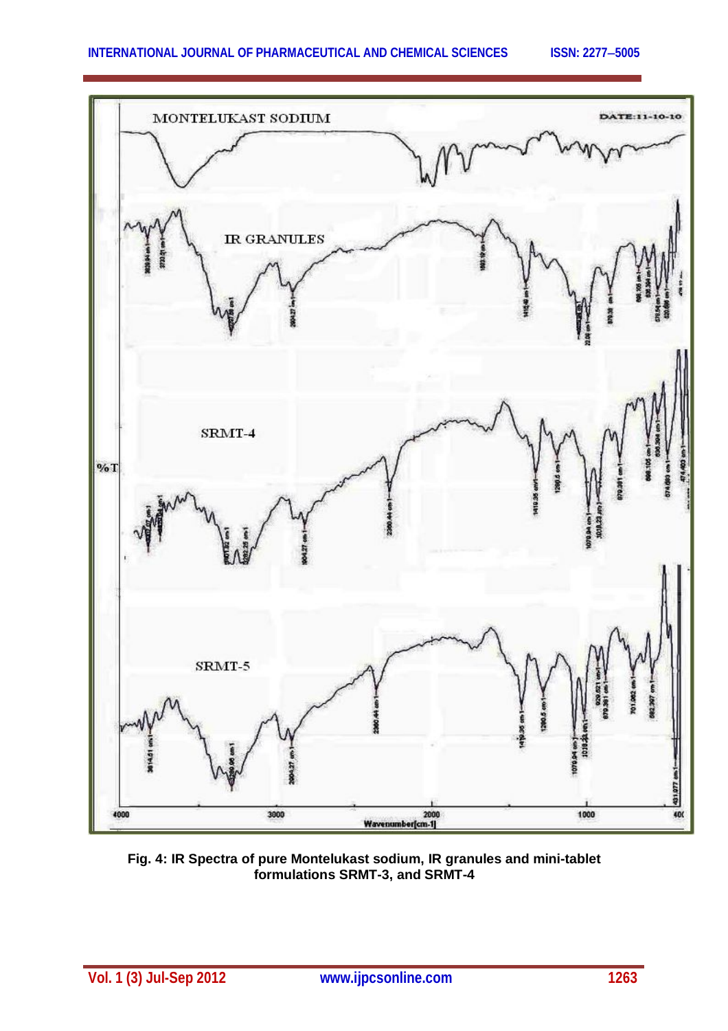

**Fig. 4: IR Spectra of pure Montelukast sodium, IR granules and mini-tablet formulations SRMT-3, and SRMT-4**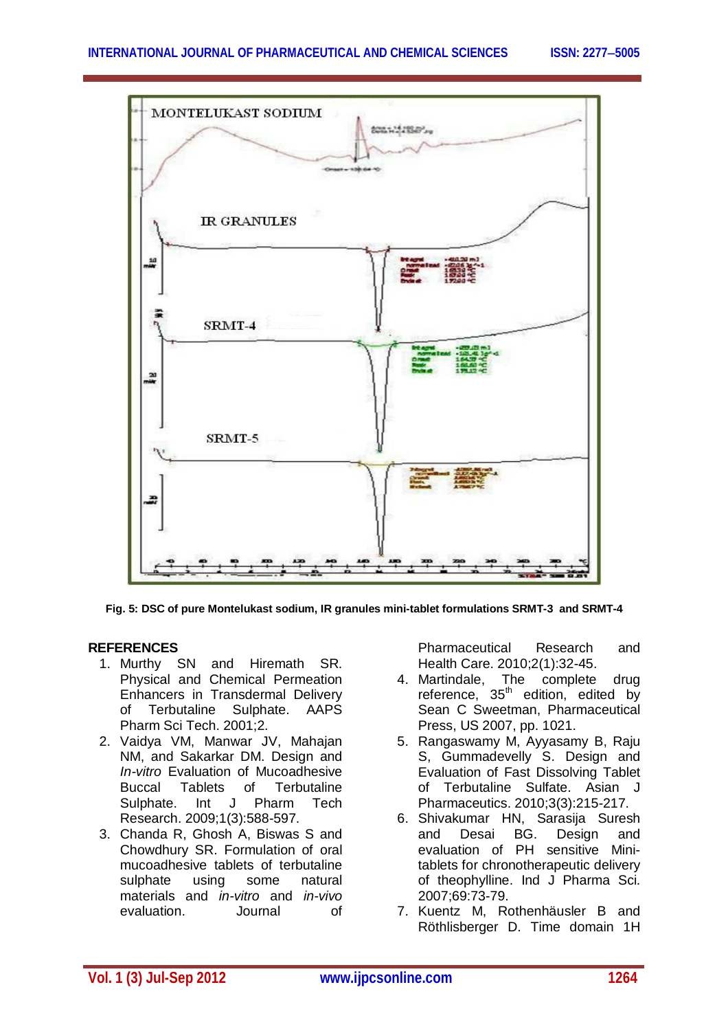

**Fig. 5: DSC of pure Montelukast sodium, IR granules mini-tablet formulations SRMT-3 and SRMT-4**

#### **REFERENCES**

- 1. Murthy SN and Hiremath SR. Physical and Chemical Permeation Enhancers in Transdermal Delivery of Terbutaline Sulphate. AAPS Pharm Sci Tech. 2001;2.
- 2. Vaidya VM, Manwar JV, Mahajan NM, and Sakarkar DM. Design and *In-vitro* Evaluation of Mucoadhesive Buccal Tablets of Terbutaline Sulphate. Int J Pharm Tech Research. 2009;1(3):588-597.
- 3. Chanda R, Ghosh A, Biswas S and Chowdhury SR. Formulation of oral mucoadhesive tablets of terbutaline sulphate using some natural materials and *in-vitro* and *in-vivo* evaluation. Journal of

Pharmaceutical Research and Health Care. 2010;2(1):32-45.

- 4. Martindale, The complete drug reference, 35<sup>th</sup> edition, edited by Sean C Sweetman, Pharmaceutical Press, US 2007, pp. 1021.
- 5. Rangaswamy M, Ayyasamy B, Raju S, Gummadevelly S. Design and Evaluation of Fast Dissolving Tablet of Terbutaline Sulfate. Asian J Pharmaceutics. 2010;3(3):215-217.
- 6. Shivakumar HN, Sarasija Suresh and Desai BG. Design and evaluation of PH sensitive Minitablets for chronotherapeutic delivery of theophylline. Ind J Pharma Sci. 2007;69:73-79.
- 7. Kuentz M, Rothenhäusler B and Röthlisberger D. Time domain 1H